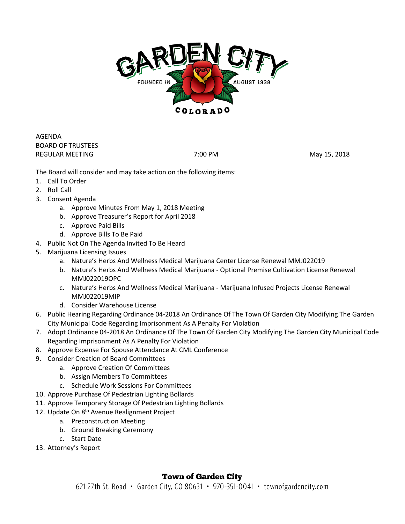

AGENDA BOARD OF TRUSTEES REGULAR MEETING **THE REGULAR MEETING 7:00 PM** 7:00 PM

The Board will consider and may take action on the following items:

- 1. Call To Order
- 2. Roll Call
- 3. Consent Agenda
	- a. Approve Minutes From May 1, 2018 Meeting
	- b. Approve Treasurer's Report for April 2018
	- c. Approve Paid Bills
	- d. Approve Bills To Be Paid
- 4. Public Not On The Agenda Invited To Be Heard
- 5. Marijuana Licensing Issues
	- a. Nature's Herbs And Wellness Medical Marijuana Center License Renewal MMJ022019
	- b. Nature's Herbs And Wellness Medical Marijuana Optional Premise Cultivation License Renewal MMJ022019OPC
	- c. Nature's Herbs And Wellness Medical Marijuana Marijuana Infused Projects License Renewal MMJ022019MIP
	- d. Consider Warehouse License
- 6. Public Hearing Regarding Ordinance 04-2018 An Ordinance Of The Town Of Garden City Modifying The Garden City Municipal Code Regarding Imprisonment As A Penalty For Violation
- 7. Adopt Ordinance 04-2018 An Ordinance Of The Town Of Garden City Modifying The Garden City Municipal Code Regarding Imprisonment As A Penalty For Violation
- 8. Approve Expense For Spouse Attendance At CML Conference
- 9. Consider Creation of Board Committees
	- a. Approve Creation Of Committees
	- b. Assign Members To Committees
	- c. Schedule Work Sessions For Committees
- 10. Approve Purchase Of Pedestrian Lighting Bollards
- 11. Approve Temporary Storage Of Pedestrian Lighting Bollards
- 12. Update On 8<sup>th</sup> Avenue Realignment Project
	- a. Preconstruction Meeting
	- b. Ground Breaking Ceremony
	- c. Start Date
- 13. Attorney's Report

## **Town of Garden City**

621 27th St. Road • Garden City, CO 80631 • 970-351-0041 • townofgardencity.com